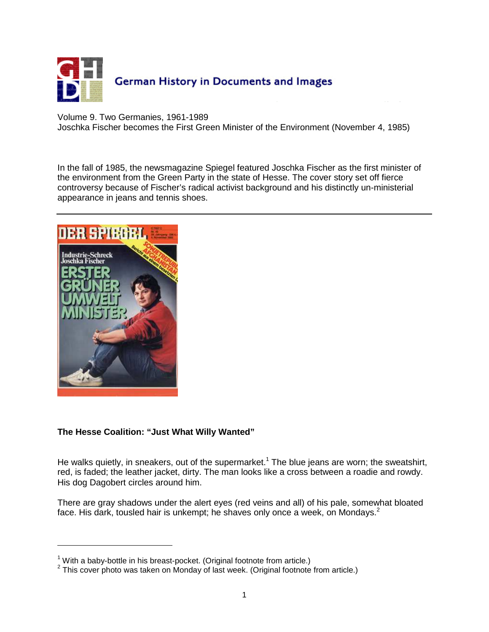

Volume 9. Two Germanies, 1961-1989

Joschka Fischer becomes the First Green Minister of the Environment (November 4, 1985)

In the fall of 1985, the newsmagazine Spiegel featured Joschka Fischer as the first minister of the environment from the Green Party in the state of Hesse. The cover story set off fierce controversy because of Fischer's radical activist background and his distinctly un-ministerial appearance in jeans and tennis shoes.



 $\overline{a}$ 

## **The Hesse Coalition: "Just What Willy Wanted"**

He walks quietly, in sneakers, out of the supermarket.<sup>1</sup> The blue jeans are worn; the sweatshirt, red, is faded; the leather jacket, dirty. The man looks like a cross between a roadie and rowdy. His dog Dagobert circles around him.

There are gray shadows under the alert eyes (red veins and all) of his pale, somewhat bloated face. His dark, tousled hair is unkempt; he shaves only once a week, on Mondays.<sup>2</sup>

 $1$  With a baby-bottle in his breast-pocket. (Original footnote from article.)

 $2$  This cover photo was taken on Monday of last week. (Original footnote from article.)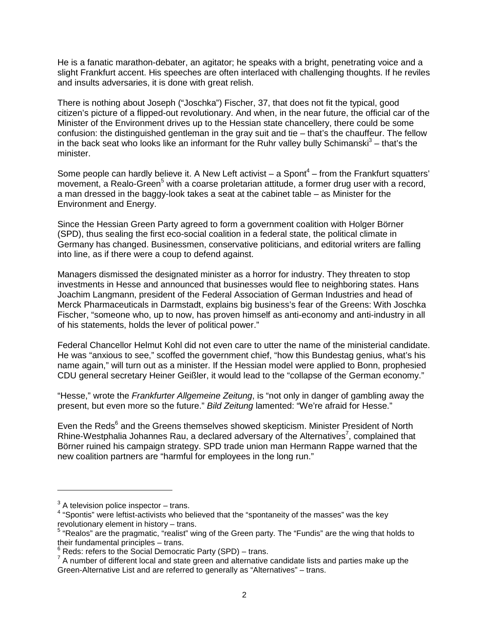He is a fanatic marathon-debater, an agitator; he speaks with a bright, penetrating voice and a slight Frankfurt accent. His speeches are often interlaced with challenging thoughts. If he reviles and insults adversaries, it is done with great relish.

There is nothing about Joseph ("Joschka") Fischer, 37, that does not fit the typical, good citizen's picture of a flipped-out revolutionary. And when, in the near future, the official car of the Minister of the Environment drives up to the Hessian state chancellery, there could be some confusion: the distinguished gentleman in the gray suit and tie – that's the chauffeur. The fellow in the back seat who looks like an informant for the Ruhr valley bully Schimanski $3$  – that's the minister.

Some people can hardly believe it. A New Left activist  $-$  a Spont<sup>4</sup>  $-$  from the Frankfurt squatters' movement, a Realo-Green<sup>5</sup> with a coarse proletarian attitude, a former drug user with a record, a man dressed in the baggy-look takes a seat at the cabinet table – as Minister for the Environment and Energy.

Since the Hessian Green Party agreed to form a government coalition with Holger Börner (SPD), thus sealing the first eco-social coalition in a federal state, the political climate in Germany has changed. Businessmen, conservative politicians, and editorial writers are falling into line, as if there were a coup to defend against.

Managers dismissed the designated minister as a horror for industry. They threaten to stop investments in Hesse and announced that businesses would flee to neighboring states. Hans Joachim Langmann, president of the Federal Association of German Industries and head of Merck Pharmaceuticals in Darmstadt, explains big business's fear of the Greens: With Joschka Fischer, "someone who, up to now, has proven himself as anti-economy and anti-industry in all of his statements, holds the lever of political power."

Federal Chancellor Helmut Kohl did not even care to utter the name of the ministerial candidate. He was "anxious to see," scoffed the government chief, "how this Bundestag genius, what's his name again," will turn out as a minister. If the Hessian model were applied to Bonn, prophesied CDU general secretary Heiner Geißler, it would lead to the "collapse of the German economy."

"Hesse," wrote the *Frankfurter Allgemeine Zeitung*, is "not only in danger of gambling away the present, but even more so the future." Bild Zeitung lamented: "We're afraid for Hesse."

Even the Reds<sup>6</sup> and the Greens themselves showed skepticism. Minister President of North Rhine-Westphalia Johannes Rau, a declared adversary of the Alternatives<sup>7</sup>, complained that Börner ruined his campaign strategy. SPD trade union man Hermann Rappe warned that the new coalition partners are "harmful for employees in the long run."

 $\overline{a}$ 

 $3$  A television police inspector – trans.

 $4$  "Spontis" were leftist-activists who believed that the "spontaneity of the masses" was the key revolutionary element in history – trans.

<sup>&</sup>lt;sup>5</sup> "Realos" are the pragmatic, "realist" wing of the Green party. The "Fundis" are the wing that holds to their fundamental principles – trans.

 $6$  Reds: refers to the Social Democratic Party (SPD) – trans.

 $7$  A number of different local and state green and alternative candidate lists and parties make up the Green-Alternative List and are referred to generally as "Alternatives" – trans.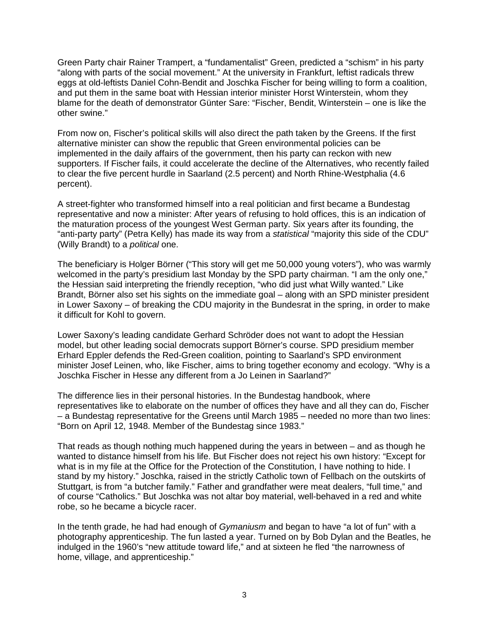Green Party chair Rainer Trampert, a "fundamentalist" Green, predicted a "schism" in his party "along with parts of the social movement." At the university in Frankfurt, leftist radicals threw eggs at old-leftists Daniel Cohn-Bendit and Joschka Fischer for being willing to form a coalition, and put them in the same boat with Hessian interior minister Horst Winterstein, whom they blame for the death of demonstrator Günter Sare: "Fischer, Bendit, Winterstein – one is like the other swine."

From now on, Fischer's political skills will also direct the path taken by the Greens. If the first alternative minister can show the republic that Green environmental policies can be implemented in the daily affairs of the government, then his party can reckon with new supporters. If Fischer fails, it could accelerate the decline of the Alternatives, who recently failed to clear the five percent hurdle in Saarland (2.5 percent) and North Rhine-Westphalia (4.6 percent).

A street-fighter who transformed himself into a real politician and first became a Bundestag representative and now a minister: After years of refusing to hold offices, this is an indication of the maturation process of the youngest West German party. Six years after its founding, the "anti-party party" (Petra Kelly) has made its way from a statistical "majority this side of the CDU" (Willy Brandt) to a *political* one.

The beneficiary is Holger Börner ("This story will get me 50,000 young voters"), who was warmly welcomed in the party's presidium last Monday by the SPD party chairman. "I am the only one," the Hessian said interpreting the friendly reception, "who did just what Willy wanted." Like Brandt, Börner also set his sights on the immediate goal – along with an SPD minister president in Lower Saxony – of breaking the CDU majority in the Bundesrat in the spring, in order to make it difficult for Kohl to govern.

Lower Saxony's leading candidate Gerhard Schröder does not want to adopt the Hessian model, but other leading social democrats support Börner's course. SPD presidium member Erhard Eppler defends the Red-Green coalition, pointing to Saarland's SPD environment minister Josef Leinen, who, like Fischer, aims to bring together economy and ecology. "Why is a Joschka Fischer in Hesse any different from a Jo Leinen in Saarland?"

The difference lies in their personal histories. In the Bundestag handbook, where representatives like to elaborate on the number of offices they have and all they can do, Fischer – a Bundestag representative for the Greens until March 1985 – needed no more than two lines: "Born on April 12, 1948. Member of the Bundestag since 1983."

That reads as though nothing much happened during the years in between – and as though he wanted to distance himself from his life. But Fischer does not reject his own history: "Except for what is in my file at the Office for the Protection of the Constitution, I have nothing to hide. I stand by my history." Joschka, raised in the strictly Catholic town of Fellbach on the outskirts of Stuttgart, is from "a butcher family." Father and grandfather were meat dealers, "full time," and of course "Catholics." But Joschka was not altar boy material, well-behaved in a red and white robe, so he became a bicycle racer.

In the tenth grade, he had had enough of Gymaniusm and began to have "a lot of fun" with a photography apprenticeship. The fun lasted a year. Turned on by Bob Dylan and the Beatles, he indulged in the 1960's "new attitude toward life," and at sixteen he fled "the narrowness of home, village, and apprenticeship."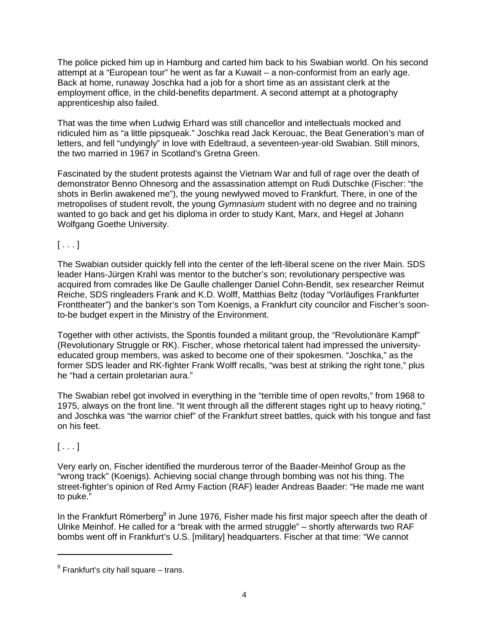The police picked him up in Hamburg and carted him back to his Swabian world. On his second attempt at a "European tour" he went as far a Kuwait – a non-conformist from an early age. Back at home, runaway Joschka had a job for a short time as an assistant clerk at the employment office, in the child-benefits department. A second attempt at a photography apprenticeship also failed.

That was the time when Ludwig Erhard was still chancellor and intellectuals mocked and ridiculed him as "a little pipsqueak." Joschka read Jack Kerouac, the Beat Generation's man of letters, and fell "undyingly" in love with Edeltraud, a seventeen-year-old Swabian. Still minors, the two married in 1967 in Scotland's Gretna Green.

Fascinated by the student protests against the Vietnam War and full of rage over the death of demonstrator Benno Ohnesorg and the assassination attempt on Rudi Dutschke (Fischer: "the shots in Berlin awakened me"), the young newlywed moved to Frankfurt. There, in one of the metropolises of student revolt, the young *Gymnasium* student with no degree and no training wanted to go back and get his diploma in order to study Kant, Marx, and Hegel at Johann Wolfgang Goethe University.

 $[...]$ 

The Swabian outsider quickly fell into the center of the left-liberal scene on the river Main. SDS leader Hans-Jürgen Krahl was mentor to the butcher's son; revolutionary perspective was acquired from comrades like De Gaulle challenger Daniel Cohn-Bendit, sex researcher Reimut Reiche, SDS ringleaders Frank and K.D. Wolff, Matthias Beltz (today "Vorläufiges Frankfurter Fronttheater") and the banker's son Tom Koenigs, a Frankfurt city councilor and Fischer's soonto-be budget expert in the Ministry of the Environment.

Together with other activists, the Spontis founded a militant group, the "Revolutionäre Kampf" (Revolutionary Struggle or RK). Fischer, whose rhetorical talent had impressed the universityeducated group members, was asked to become one of their spokesmen. "Joschka," as the former SDS leader and RK-fighter Frank Wolff recalls, "was best at striking the right tone," plus he "had a certain proletarian aura."

The Swabian rebel got involved in everything in the "terrible time of open revolts," from 1968 to 1975, always on the front line. "It went through all the different stages right up to heavy rioting," and Joschka was "the warrior chief" of the Frankfurt street battles, quick with his tongue and fast on his feet.

 $[ \dots ]$ 

 $\overline{a}$ 

Very early on, Fischer identified the murderous terror of the Baader-Meinhof Group as the "wrong track" (Koenigs). Achieving social change through bombing was not his thing. The street-fighter's opinion of Red Army Faction (RAF) leader Andreas Baader: "He made me want to puke."

In the Frankfurt Römerberg<sup>8</sup> in June 1976, Fisher made his first major speech after the death of Ulrike Meinhof. He called for a "break with the armed struggle" – shortly afterwards two RAF bombs went off in Frankfurt's U.S. [military] headquarters. Fischer at that time: "We cannot

 $8$  Frankfurt's city hall square – trans.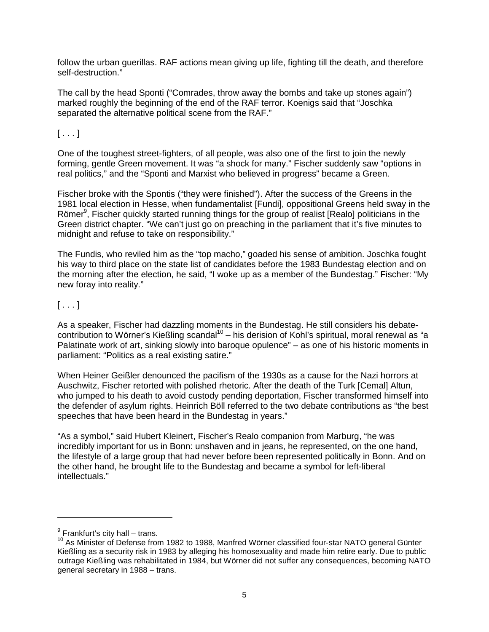follow the urban guerillas. RAF actions mean giving up life, fighting till the death, and therefore self-destruction."

The call by the head Sponti ("Comrades, throw away the bombs and take up stones again") marked roughly the beginning of the end of the RAF terror. Koenigs said that "Joschka separated the alternative political scene from the RAF."

 $[ \ldots ]$ 

One of the toughest street-fighters, of all people, was also one of the first to join the newly forming, gentle Green movement. It was "a shock for many." Fischer suddenly saw "options in real politics," and the "Sponti and Marxist who believed in progress" became a Green.

Fischer broke with the Spontis ("they were finished"). After the success of the Greens in the 1981 local election in Hesse, when fundamentalist [Fundi], oppositional Greens held sway in the Römer<sup>9</sup>, Fischer quickly started running things for the group of realist [Realo] politicians in the Green district chapter. "We can't just go on preaching in the parliament that it's five minutes to midnight and refuse to take on responsibility."

The Fundis, who reviled him as the "top macho," goaded his sense of ambition. Joschka fought his way to third place on the state list of candidates before the 1983 Bundestag election and on the morning after the election, he said, "I woke up as a member of the Bundestag." Fischer: "My new foray into reality."

## $[ \ldots ]$

 $\overline{a}$ 

As a speaker, Fischer had dazzling moments in the Bundestag. He still considers his debatecontribution to Wörner's Kießling scandal<sup>10</sup> – his derision of Kohl's spiritual, moral renewal as "a Palatinate work of art, sinking slowly into baroque opulence" – as one of his historic moments in parliament: "Politics as a real existing satire."

When Heiner Geißler denounced the pacifism of the 1930s as a cause for the Nazi horrors at Auschwitz, Fischer retorted with polished rhetoric. After the death of the Turk [Cemal] Altun, who jumped to his death to avoid custody pending deportation, Fischer transformed himself into the defender of asylum rights. Heinrich Böll referred to the two debate contributions as "the best speeches that have been heard in the Bundestag in years."

"As a symbol," said Hubert Kleinert, Fischer's Realo companion from Marburg, "he was incredibly important for us in Bonn: unshaven and in jeans, he represented, on the one hand, the lifestyle of a large group that had never before been represented politically in Bonn. And on the other hand, he brought life to the Bundestag and became a symbol for left-liberal intellectuals."

 $^9$  Frankfurt's city hall – trans.

<sup>10</sup> As Minister of Defense from 1982 to 1988, Manfred Wörner classified four-star NATO general Günter Kießling as a security risk in 1983 by alleging his homosexuality and made him retire early. Due to public outrage Kießling was rehabilitated in 1984, but Wörner did not suffer any consequences, becoming NATO general secretary in 1988 – trans.